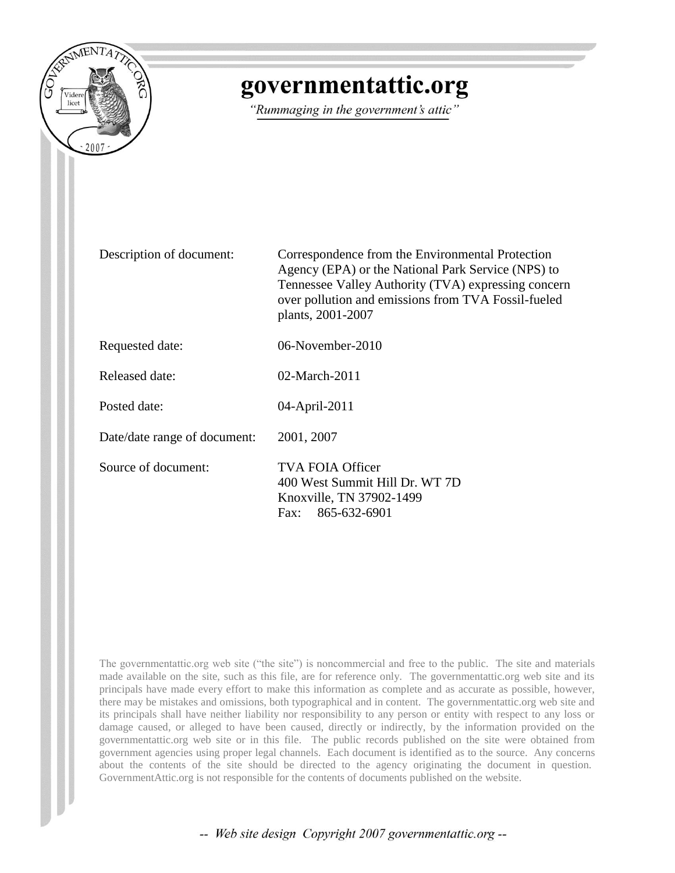

## governmentattic.org

"Rummaging in the government's attic"

Description of document: Correspondence from the Environmental Protection Agency (EPA) or the National Park Service (NPS) to Tennessee Valley Authority (TVA) expressing concern over pollution and emissions from TVA Fossil-fueled plants, 2001-2007

Requested date: 06-November-2010

Released date: 02-March-2011

Posted date: 04-April-2011

Date/date range of document: 2001, 2007

Source of document: TVA FOIA Officer

400 West Summit Hill Dr. WT 7D Knoxville, TN 37902-1499 Fax: 865-632-6901

The governmentattic.org web site ("the site") is noncommercial and free to the public. The site and materials made available on the site, such as this file, are for reference only. The governmentattic.org web site and its principals have made every effort to make this information as complete and as accurate as possible, however, there may be mistakes and omissions, both typographical and in content. The governmentattic.org web site and its principals shall have neither liability nor responsibility to any person or entity with respect to any loss or damage caused, or alleged to have been caused, directly or indirectly, by the information provided on the governmentattic.org web site or in this file. The public records published on the site were obtained from government agencies using proper legal channels. Each document is identified as to the source. Any concerns about the contents of the site should be directed to the agency originating the document in question. GovernmentAttic.org is not responsible for the contents of documents published on the website.

-- Web site design Copyright 2007 governmentattic.org --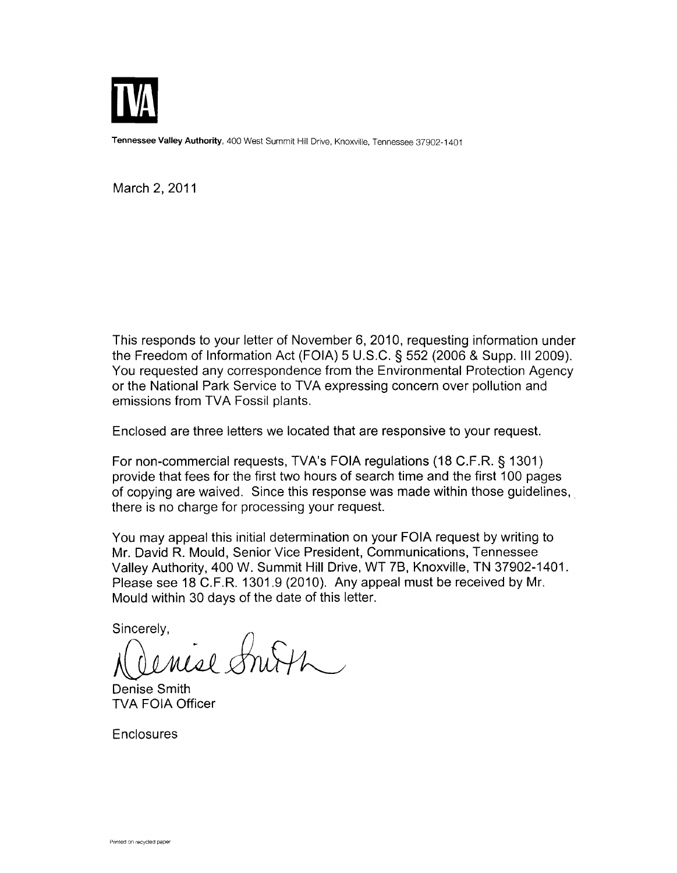

Tennessee Valley Authority, 400 West Summit Hill Drive, Knoxville, Tennessee 37902-1401

March 2, 2011

This responds to your letter of November 6, 2010, requesting information under the Freedom of Information Act (FOIA) 5 U.S.C. § 552 (2006 & Supp. Ill 2009). You requested any correspondence from the Environmental Protection Agency or the National Park Service to TVA expressing concern over pollution and emissions from TVA Fossil plants.

Enclosed are three letters we located that are responsive to your request.

For non-commercial requests, TVA's FOIA regulations (18 C.F .R. § 1301) provide that fees for the first two hours of search time and the first 100 pages of copying are waived. Since this response was made within those guidelines, there is no charge for processing your request.

You may appeal this initial determination on your FOIA request by writing to Mr. David R. Mould, Senior Vice President, Communications, Tennessee Valley Authority, 400 W. Summit Hill Drive, WT 78, Knoxville, TN 37902-1401. Please see 18 C.F.R. 1301.9 (2010). Any appeal must be received by Mr. Mould within 30 days of the date of this letter.

Sincerely,

enise Smith.

Denise Smith TVA FOIA Officer

Enclosures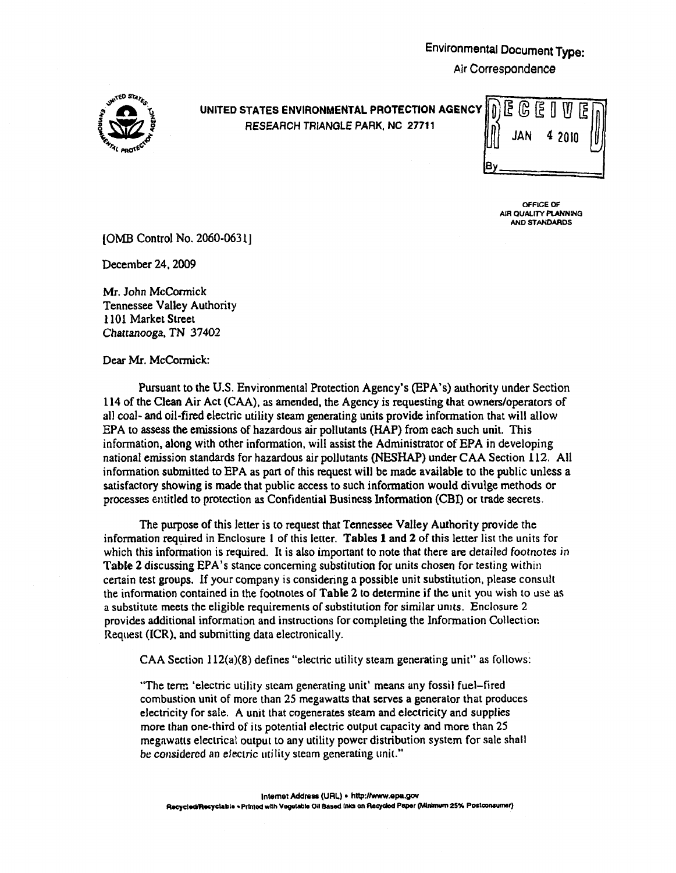## Environmental Document Type:

Air Correspondence



## UNITED STATES ENVIRONMENTAL PROTECTION AGENCY<br>~ RESEARCH TRIANGLE PARK, NC 27711

| $\begin{bmatrix} 0 & \text{E} & \text{C} & \text{E} & \text{U} & \text{E} \\ \text{A} & \text{B} & \text{B} & \text{A} & \text{B} & \text{B} \end{bmatrix}$ |  |  |
|-------------------------------------------------------------------------------------------------------------------------------------------------------------|--|--|
|                                                                                                                                                             |  |  |
|                                                                                                                                                             |  |  |

OFFICE OF AIR QUALITY PLANNING AND STANDARDS

{OMB Control No. 2060-0631]

December 24, 2009

Mr. John McCormick Tennessee Valley Authority 1101 Market Street Chattanooga, TN 37402

Dear Mr. McCormick:

Pursuant to the U.S. Environmental Protection Agency's (EPA's) authority under Section 114 of the Clean Air Act (CAA). as amended, the Agency is requesting that owners/operators of all coal- and oil-fired electric utility steam generating units provide infonnation that will allow EPA to assess the emissions of hazardous air pollutants (HAP) from each such unit. This infonnation, along with other information, will assist the Administrator of EPA in developing national emission standards for hazardous air pollutants (NESHAP) under CAA Section 112. All information submitted to EPA as part of this request will be made available to the public unless a satisfactory showing is made that public access to such information would divulge methods or processes entitled to protection as Confidential Business Information (CBI) or trade secrets.

The purpose of this letter is to request that Tennessee Valley Authority provide the information required in Enclosure I of this letter. Tables 1 and 2 of this letter list the units for which this information is required. It is also important to note that there are detailed footnotes in Table 2 discussing EPA's stance concerning substitution for units chosen for testing within certain test groups. If your company is considering a possible unit substitution, please consult the infOtmation contained in the footnotes of Table 2 to determine if the unit you wish to use as a substitute meets the eligible requirements of substitution for similar umts. Enclosure 2 provides additional information and instructions for completing the Information Collectior: Request (ICR), and submitting data electronically.

CAA Section 112(a)(8) defines "electric utility steam generating unit" as follows:

"The term 'electric utility steam generating unit' means any fossil fuel-fired combustion unit of more than 25 megawatts that serves a generator that produces electricity for sale. A unit that cogenerates steam and electricity and supplies more than one-third of its potential electric output capacity and more than 25 megawatts electrical output to any utility power distribution system for sale shall be considered an electric utility steam generating unit."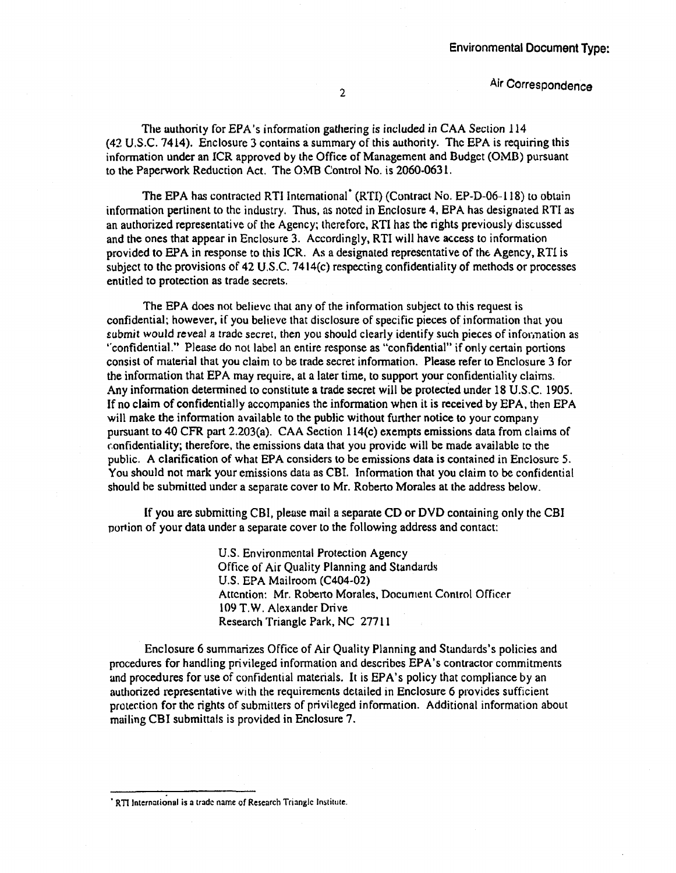2 Air Correspondence

The authority for EPA's information gathering is included in CAA Section 114 (42 U.S.C. 7414). Enclosure 3 contains a summary of this authority. The EPA is requiring this information under an ICR approved by the Office of Management and Budget (OMB) pursuant to the Paperwork Reduction Act. The OMB Control No. is 2060-0631.

The EPA has contracted RTI International<sup>\*</sup> (RTI) (Contract No. EP-D-06-118) to obtain information pertinent to the industry. Thus, as noted in Enclosure 4, EPA has designated RTI as an authorized representative of the Agency; therefore, RTI has the rights previously discussed and the ones that appear in Enclosure 3. Accordingly, RTI will have access to information provided to EPA in response to this ICR. As a designated representative of the Agency, RTI is subject to the provisions of 42 U.S.C. 74 14(c) respecting confidentiality of methods or processes entitled to protection as trade secrets.

The EPA does not believe that any of the information subject to this request is confidential; however, if you believe that disclosure of specific pieces of information that you £ubmit would reveal *a* trade secret, then you should clearly identify such pieces of infor.nation as ··confidential." Please do not label an entire response as "confidential" if only certain portions consist of material that you claim to be trade secret information. Please refer to Enclosure 3 for the information that EPA may require, at a later time, to support your confidentiality claims. Any information determined to constitute a trade secret will be protected under 18 U.S.C. 1905. If no claim of confidentially accompanies the infonnation when it is received by EPA, then EPA will make the information available to the public without further notice to your company pursuant to 40 CFR part 2.203(a). CAA Section 114(c) exempts emissions data from claims of confidentiality; therefore, the emissions data that you provide will be made available to the public. A clarification of what EPA considers to be emissions data is contained in Enclosure 5. You should not mark your emissions data as CBI. Information that you claim to be confidential should be submitted under a separate cover to Mr. Roberto Morales at the address below.

If you are submitting CBI, pleuse mail a separate CD or DVD containing only the CBI portion of your data under a separate cover to the following address and contact:

> U.S. Environmental Protection Agency Office of Air Quality Planning and Standards U.S. EPA Mailroom (C404-02) Attention: Mr. Roberto Morales, Document Control Officer 109 T.W. Alexander Drive Research Triangle Park, NC 27711

Enclosure 6 summarizes Office of Air Quality Planning and Standards's policies and procedures for handling privileged information and describes EPA's contractor commitments and procedures for use of confidential materials. It is EPA's policy that compliance by an authorized representative with the requirements detailed in Enclosure 6 provides sufficient protection for the rights of submitters of privileged information. Additional information about mailing CBI submittals is provided in Enclosure 7.

<sup>&</sup>lt;sup>•</sup> RTI International is a trade name of Research Triangle Institute.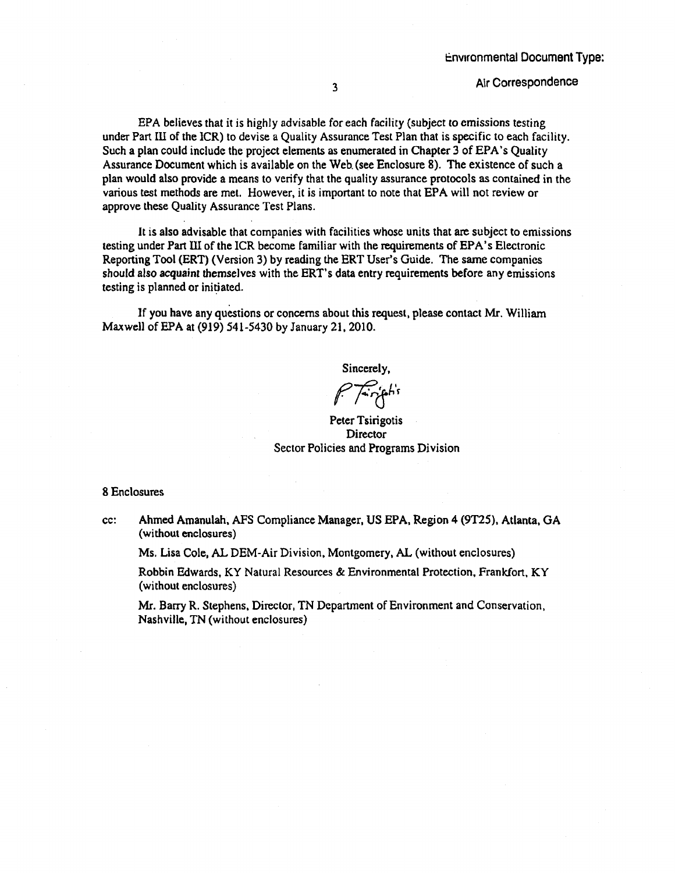EPA believes that it is highly advisable for each facility (subject to emissions testing under Part Ill of the ICR) to devise a Quality Assurance Test Plan that is specific to each facility. Such a plan could include the project elements as enumerated in Chapter 3 of EPA's Quality Assurance Document which is available on the Web. (see Enclosure 8). The existence of such a plan would also provide a means to verify that the quality assurance protocols as contained in the various test methods are met. However, it is important to note that EPA will not review or approve these Quality Assurance Test Plans.

It is also advisable that companies with facilities whose units that are subject to emissions testing under Partlli of the ICR become familiar with the requirements of EPA's Electronic Reporting Tool (ERT) (Version 3) by reading the ERT User's Guide. The same companies should also acquaint themselves with the ERT's data entry requirements before any emissions testing is planned or initiated.

1f you have any questions or concerns about this request, please contact Mr. William Maxwell of EPA at (919) 541-5430 by January 21, 2010.

Sincerely,

(~(jh'r

Peter Tsirigotis **Director** Sector Policies and Programs Division

## 8 Enclosures

cc: Ahmed Amanulah, AFS Compliance Manager, US EPA, Region 4 (9T25), Atlanta, GA (without enclosures)

Ms. Lisa Cole, AL DEM-Air Division, Montgomery, AL (without enclosures)

Robbin Edwards, KY Natural Resources & Environmental Protection, Frankfort, KY (without enclosures)

Mr. Barry R. Stephens, Director, TN Department of Environment and Conservation, Nashville, TN (without enclosures)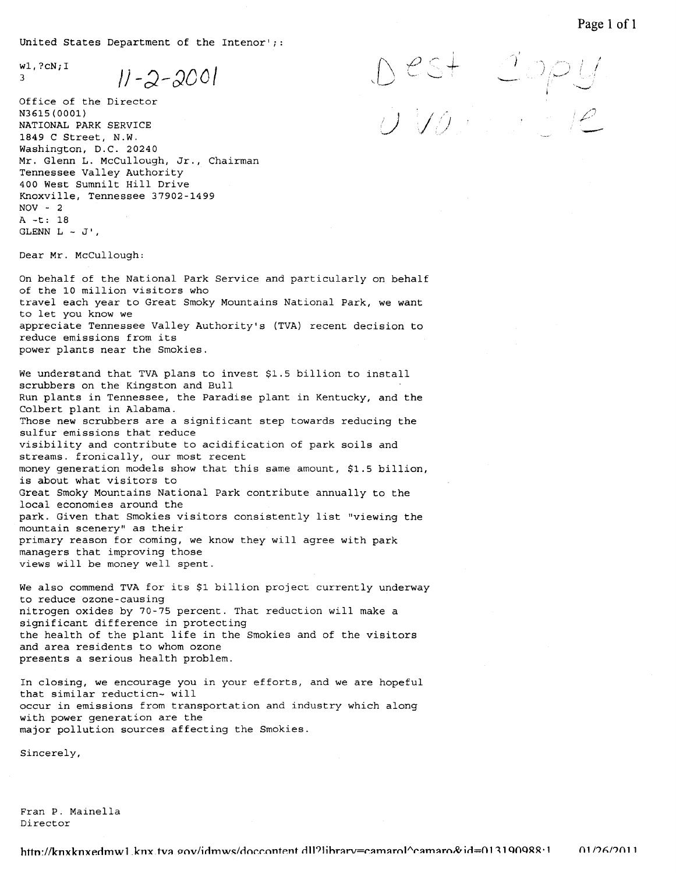United States Department of the Intenor'; :

 $\mathbb{Z}^{3}$ <sup>3</sup> $1/2-2-200$ 

Office of the Director N3615(0001) NATIONAL PARK SERVICE 1849 C Street, N.W. Washington, D.C. 20240 Mr. Glenn L. McCullough, Jr., Chairman Tennessee Valley Authority 400 West Sumnilt Hill Drive Knoxville, Tennessee 37902-1499  $NOV - 2$ A-t: 18 GLENN  $L - J'$ ,

Dear Mr. McCullough:

On behalf of the National Park Service and particularly on behalf of the 10 million visitors who travel each year to Great Smoky Mountains National Park, we want to let you know we appreciate Tennessee Valley Authority's (TVA) recent decision to reduce emissions from its power plants near the Smokies.

We understand that TVA plans to invest \$1.5 billion to install scrubbers on the Kingston and Bull Run plants in Tennessee, the Paradise plant in Kentucky, and the Colbert plant in Alabama. Those new scrubbers are a significant step towards reducing the sulfur emissions that reduce visibility and contribute to acidification of park soils and streams. fronically, our most recent money generation models show that this same amount, \$1.5 billion, is about what visitors to Great Smoky Mountains National Park contribute annually to the local economies around the park. Given that Smokies visitors consistently list "viewing the mountain scenery" as their primary reason for coming, we know they will agree with park managers that improving those views will be money well spent.

We also commend TVA for its \$1 billion project currently underway to reduce ozone-causing nitrogen oxides by 70-75 percent. That reduction will make a significant difference in protecting the health of the plant life in the Smokies and of the visitors and area residents to whom ozone presents a serious health problem.

In closing, we encourage you in your efforts, and we are hopeful that similar reducticn- will occur in emissions from transportation and industry which along with power generation are the major pollution sources affecting the Smokies.

Sincerely,

Fran P. Mainella Director

 $\cup$   $\vee$ j ..

 $+$